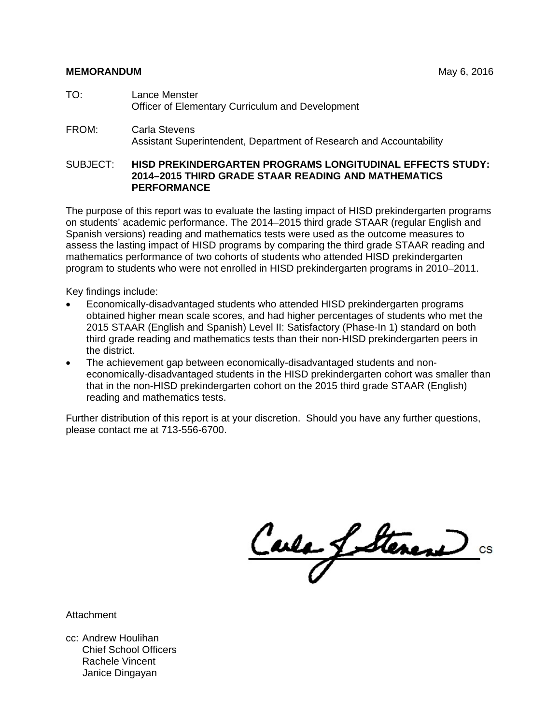- TO: Lance Menster Officer of Elementary Curriculum and Development
- FROM: Carla Stevens Assistant Superintendent, Department of Research and Accountability

#### SUBJECT: **HISD PREKINDERGARTEN PROGRAMS LONGITUDINAL EFFECTS STUDY: 2014–2015 THIRD GRADE STAAR READING AND MATHEMATICS PERFORMANCE**

The purpose of this report was to evaluate the lasting impact of HISD prekindergarten programs on students' academic performance. The 2014–2015 third grade STAAR (regular English and Spanish versions) reading and mathematics tests were used as the outcome measures to assess the lasting impact of HISD programs by comparing the third grade STAAR reading and mathematics performance of two cohorts of students who attended HISD prekindergarten program to students who were not enrolled in HISD prekindergarten programs in 2010–2011.

Key findings include:

- Economically-disadvantaged students who attended HISD prekindergarten programs obtained higher mean scale scores, and had higher percentages of students who met the 2015 STAAR (English and Spanish) Level II: Satisfactory (Phase-In 1) standard on both third grade reading and mathematics tests than their non-HISD prekindergarten peers in the district.
- The achievement gap between economically-disadvantaged students and noneconomically-disadvantaged students in the HISD prekindergarten cohort was smaller than that in the non-HISD prekindergarten cohort on the 2015 third grade STAAR (English) reading and mathematics tests.

Further distribution of this report is at your discretion. Should you have any further questions, please contact me at 713-556-6700.

Carlo Lattener

Attachment

cc: Andrew Houlihan Chief School Officers Rachele Vincent Janice Dingayan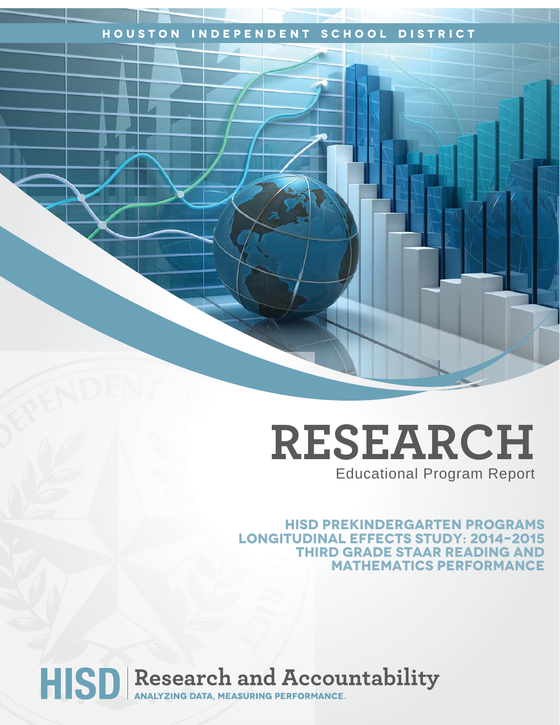# **Houston Independent School District**

# **RESEARCH** Educational Program Report

**HISD PREKINDERGARTEN PROGRAMS LONGITUDINAL EFFECTS STUDY: 2014–2015 THIRD GRADE STAAR READING AND MATHEMATICS PERFORMANCE** 

# HISD Research and Accountability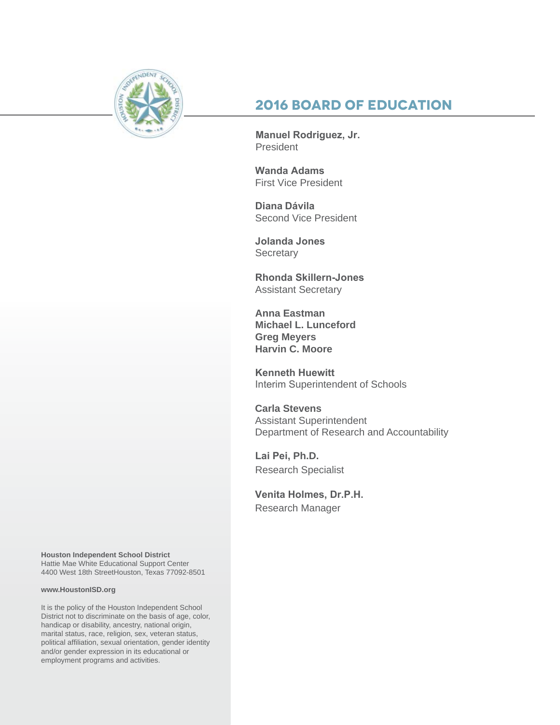

# **2016 Board of Education**

**Manuel Rodriguez, Jr.**  President

**Wanda Adams**  First Vice President

**Diana Dávila** Second Vice President

**Jolanda Jones Secretary** 

**Rhonda Skillern-Jones**  Assistant Secretary

**Anna Eastman Michael L. Lunceford Greg Meyers Harvin C. Moore**

**Kenneth Huewitt** Interim Superintendent of Schools

**Carla Stevens** Assistant Superintendent Department of Research and Accountability

**Lai Pei, Ph.D.** Research Specialist

**Venita Holmes, Dr.P.H.**  Research Manager

**Houston Independent School District** Hattie Mae White Educational Support Center 4400 West 18th StreetHouston, Texas 77092-8501

#### **www.HoustonISD.org**

It is the policy of the Houston Independent School District not to discriminate on the basis of age, color, handicap or disability, ancestry, national origin, marital status, race, religion, sex, veteran status, political affiliation, sexual orientation, gender identity and/or gender expression in its educational or employment programs and activities.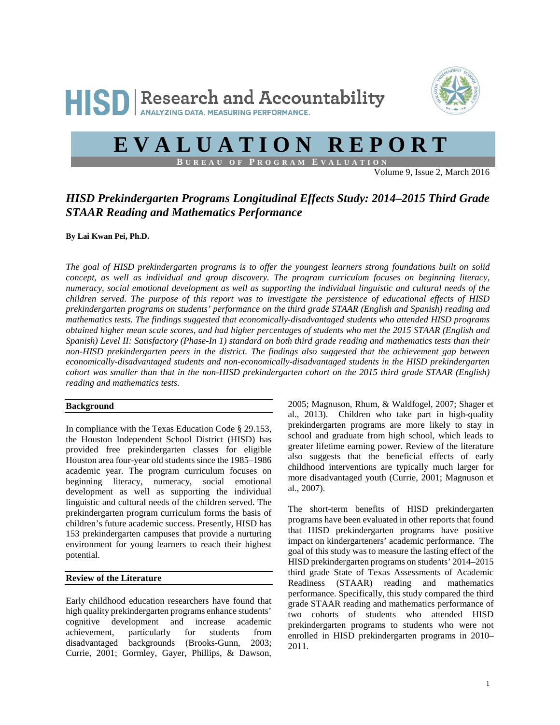

# **EVALUATION REPORT**

**B UREAU OF P ROGRAM E VALUATION**

Volume 9, Issue 2, March 2016

## *HISD Prekindergarten Programs Longitudinal Effects Study: 2014–2015 Third Grade STAAR Reading and Mathematics Performance*

**By Lai Kwan Pei, Ph.D.**

*The goal of HISD prekindergarten programs is to offer the youngest learners strong foundations built on solid concept, as well as individual and group discovery. The program curriculum focuses on beginning literacy, numeracy, social emotional development as well as supporting the individual linguistic and cultural needs of the children served. The purpose of this report was to investigate the persistence of educational effects of HISD prekindergarten programs on students' performance on the third grade STAAR (English and Spanish) reading and mathematics tests. The findings suggested that economically-disadvantaged students who attended HISD programs obtained higher mean scale scores, and had higher percentages of students who met the 2015 STAAR (English and Spanish) Level II: Satisfactory (Phase-In 1) standard on both third grade reading and mathematics tests than their non-HISD prekindergarten peers in the district. The findings also suggested that the achievement gap between economically-disadvantaged students and non-economically-disadvantaged students in the HISD prekindergarten cohort was smaller than that in the non-HISD prekindergarten cohort on the 2015 third grade STAAR (English) reading and mathematics tests.* 

#### **Background**

In compliance with the Texas Education Code § 29.153, the Houston Independent School District (HISD) has provided free prekindergarten classes for eligible Houston area four-year old students since the 1985–1986 academic year. The program curriculum focuses on beginning literacy, numeracy, social emotional development as well as supporting the individual linguistic and cultural needs of the children served. The prekindergarten program curriculum forms the basis of children's future academic success. Presently, HISD has 153 prekindergarten campuses that provide a nurturing environment for young learners to reach their highest potential.

#### **Review of the Literature**

Early childhood education researchers have found that high quality prekindergarten programs enhance students' cognitive development and increase academic achievement, particularly for students from disadvantaged backgrounds (Brooks-Gunn, 2003; Currie, 2001; Gormley, Gayer, Phillips, & Dawson,

2005; Magnuson, Rhum, & Waldfogel, 2007; Shager et al., 2013). Children who take part in high-quality prekindergarten programs are more likely to stay in school and graduate from high school, which leads to greater lifetime earning power. Review of the literature also suggests that the beneficial effects of early childhood interventions are typically much larger for more disadvantaged youth (Currie, 2001; Magnuson et al., 2007).

The short-term benefits of HISD prekindergarten programs have been evaluated in other reports that found that HISD prekindergarten programs have positive impact on kindergarteners' academic performance. The goal of this study was to measure the lasting effect of the HISD prekindergarten programs on students' 2014–2015 third grade State of Texas Assessments of Academic Readiness (STAAR) reading and mathematics performance. Specifically, this study compared the third grade STAAR reading and mathematics performance of two cohorts of students who attended HISD prekindergarten programs to students who were not enrolled in HISD prekindergarten programs in 2010– 2011.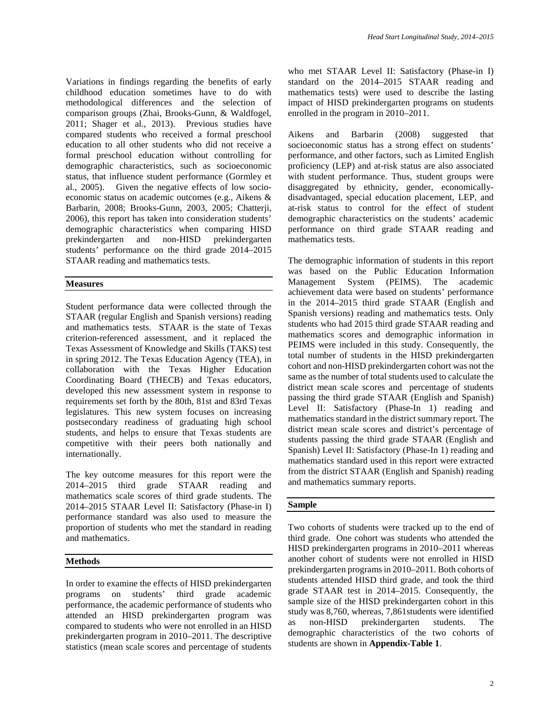Variations in findings regarding the benefits of early childhood education sometimes have to do with methodological differences and the selection of comparison groups (Zhai, Brooks-Gunn, & Waldfogel, 2011; Shager et al., 2013). Previous studies have compared students who received a formal preschool education to all other students who did not receive a formal preschool education without controlling for demographic characteristics, such as socioeconomic status, that influence student performance (Gormley et al., 2005). Given the negative effects of low socioeconomic status on academic outcomes (e.g., Aikens & Barbarin, 2008; Brooks-Gunn, 2003, 2005; Chatterji, 2006), this report has taken into consideration students' demographic characteristics when comparing HISD prekindergarten and non-HISD prekindergarten students' performance on the third grade 2014–2015 STAAR reading and mathematics tests.

#### **Measures**

Student performance data were collected through the STAAR (regular English and Spanish versions) reading and mathematics tests. STAAR is the state of Texas criterion-referenced assessment, and it replaced the Texas Assessment of Knowledge and Skills (TAKS) test in spring 2012. The Texas Education Agency (TEA), in collaboration with the Texas Higher Education Coordinating Board (THECB) and Texas educators, developed this new assessment system in response to requirements set forth by the 80th, 81st and 83rd Texas legislatures. This new system focuses on increasing postsecondary readiness of graduating high school students, and helps to ensure that Texas students are competitive with their peers both nationally and internationally.

The key outcome measures for this report were the 2014–2015 third grade STAAR reading and mathematics scale scores of third grade students. The 2014–2015 STAAR Level II: Satisfactory (Phase-in I) performance standard was also used to measure the proportion of students who met the standard in reading and mathematics.

#### **Methods**

In order to examine the effects of HISD prekindergarten programs on students' third grade academic performance, the academic performance of students who attended an HISD prekindergarten program was compared to students who were not enrolled in an HISD prekindergarten program in 2010–2011. The descriptive statistics (mean scale scores and percentage of students who met STAAR Level II: Satisfactory (Phase-in I) standard on the 2014–2015 STAAR reading and mathematics tests) were used to describe the lasting impact of HISD prekindergarten programs on students enrolled in the program in 2010–2011.

Aikens and Barbarin (2008) suggested that socioeconomic status has a strong effect on students' performance, and other factors, such as Limited English proficiency (LEP) and at-risk status are also associated with student performance. Thus, student groups were disaggregated by ethnicity, gender, economicallydisadvantaged, special education placement, LEP, and at-risk status to control for the effect of student demographic characteristics on the students' academic performance on third grade STAAR reading and mathematics tests.

The demographic information of students in this report was based on the Public Education Information Management System (PEIMS). The academic achievement data were based on students' performance in the 2014–2015 third grade STAAR (English and Spanish versions) reading and mathematics tests. Only students who had 2015 third grade STAAR reading and mathematics scores and demographic information in PEIMS were included in this study. Consequently, the total number of students in the HISD prekindergarten cohort and non-HISD prekindergarten cohort was not the same as the number of total students used to calculate the district mean scale scores and percentage of students passing the third grade STAAR (English and Spanish) Level II: Satisfactory (Phase-In 1) reading and mathematics standard in the district summary report. The district mean scale scores and district's percentage of students passing the third grade STAAR (English and Spanish) Level II: Satisfactory (Phase-In 1) reading and mathematics standard used in this report were extracted from the district STAAR (English and Spanish) reading and mathematics summary reports.

#### **Sample**

Two cohorts of students were tracked up to the end of third grade. One cohort was students who attended the HISD prekindergarten programs in 2010–2011 whereas another cohort of students were not enrolled in HISD prekindergarten programs in 2010–2011. Both cohorts of students attended HISD third grade, and took the third grade STAAR test in 2014–2015. Consequently, the sample size of the HISD prekindergarten cohort in this study was 8,760, whereas, 7,861students were identified as non-HISD prekindergarten students. The demographic characteristics of the two cohorts of students are shown in **Appendix-Table 1**.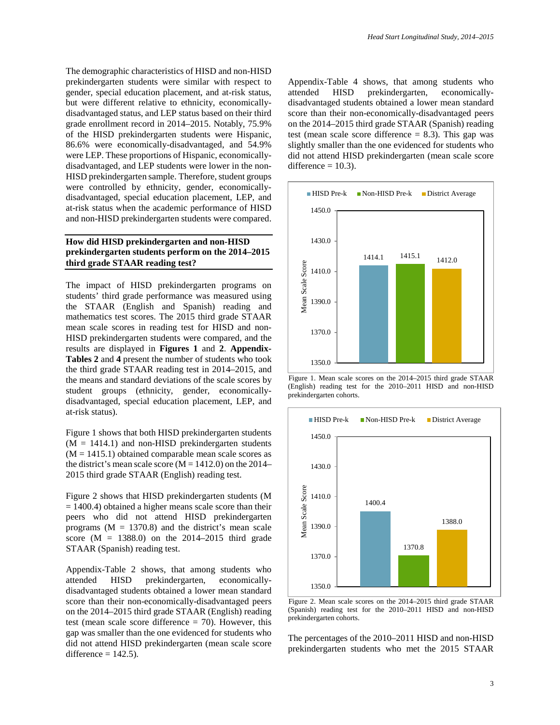The demographic characteristics of HISD and non-HISD prekindergarten students were similar with respect to gender, special education placement, and at-risk status, but were different relative to ethnicity, economicallydisadvantaged status, and LEP status based on their third grade enrollment record in 2014–2015. Notably, 75.9% of the HISD prekindergarten students were Hispanic, 86.6% were economically-disadvantaged, and 54.9% were LEP. These proportions of Hispanic, economicallydisadvantaged, and LEP students were lower in the non-HISD prekindergarten sample. Therefore, student groups were controlled by ethnicity, gender, economicallydisadvantaged, special education placement, LEP, and at-risk status when the academic performance of HISD and non-HISD prekindergarten students were compared.

#### **How did HISD prekindergarten and non-HISD prekindergarten students perform on the 2014–2015 third grade STAAR reading test?**

The impact of HISD prekindergarten programs on students' third grade performance was measured using the STAAR (English and Spanish) reading and mathematics test scores. The 2015 third grade STAAR mean scale scores in reading test for HISD and non-HISD prekindergarten students were compared, and the results are displayed in **Figures 1** and **2**. **Appendix-Tables 2** and **4** present the number of students who took the third grade STAAR reading test in 2014–2015, and the means and standard deviations of the scale scores by student groups (ethnicity, gender, economicallydisadvantaged, special education placement, LEP, and at-risk status).

Figure 1 shows that both HISD prekindergarten students  $(M = 1414.1)$  and non-HISD prekindergarten students  $(M = 1415.1)$  obtained comparable mean scale scores as the district's mean scale score ( $M = 1412.0$ ) on the 2014– 2015 third grade STAAR (English) reading test.

Figure 2 shows that HISD prekindergarten students (M  $= 1400.4$ ) obtained a higher means scale score than their peers who did not attend HISD prekindergarten programs  $(M = 1370.8)$  and the district's mean scale score  $(M = 1388.0)$  on the 2014–2015 third grade STAAR (Spanish) reading test.

Appendix-Table 2 shows, that among students who attended HISD prekindergarten, economicallydisadvantaged students obtained a lower mean standard score than their non-economically-disadvantaged peers on the 2014–2015 third grade STAAR (English) reading test (mean scale score difference  $= 70$ ). However, this gap was smaller than the one evidenced for students who did not attend HISD prekindergarten (mean scale score difference  $= 142.5$ ).

Appendix-Table 4 shows, that among students who attended HISD prekindergarten, economicallydisadvantaged students obtained a lower mean standard score than their non-economically-disadvantaged peers on the 2014–2015 third grade STAAR (Spanish) reading test (mean scale score difference  $= 8.3$ ). This gap was slightly smaller than the one evidenced for students who did not attend HISD prekindergarten (mean scale score difference  $= 10.3$ ).



 Figure 1. Mean scale scores on the 2014–2015 third grade STAAR (English) reading test for the 2010–2011 HISD and non-HISD prekindergarten cohorts.



 Figure 2. Mean scale scores on the 2014–2015 third grade STAAR (Spanish) reading test for the 2010–2011 HISD and non-HISD prekindergarten cohorts.

The percentages of the 2010–2011 HISD and non-HISD prekindergarten students who met the 2015 STAAR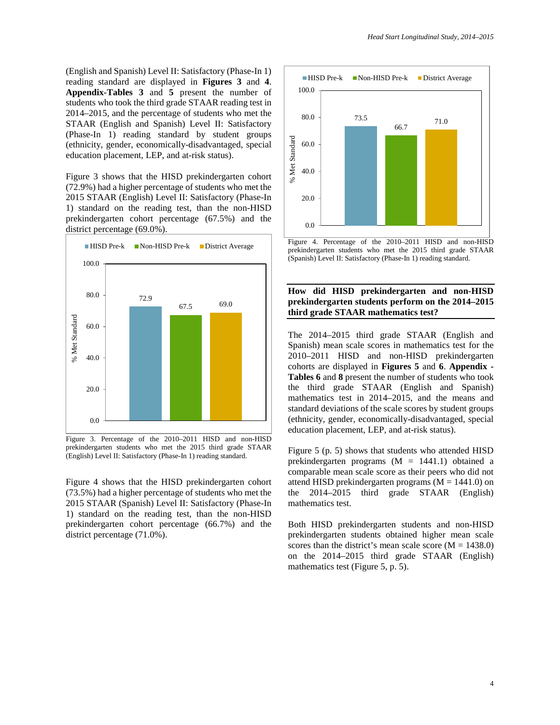(English and Spanish) Level II: Satisfactory (Phase-In 1) reading standard are displayed in **Figures 3** and **4**. **Appendix-Tables 3** and **5** present the number of students who took the third grade STAAR reading test in 2014–2015, and the percentage of students who met the STAAR (English and Spanish) Level II: Satisfactory (Phase-In 1) reading standard by student groups (ethnicity, gender, economically-disadvantaged, special education placement, LEP, and at-risk status).

Figure 3 shows that the HISD prekindergarten cohort (72.9%) had a higher percentage of students who met the 2015 STAAR (English) Level II: Satisfactory (Phase-In 1) standard on the reading test, than the non-HISD prekindergarten cohort percentage (67.5%) and the district percentage (69.0%).



Figure 3. Percentage of the 2010–2011 HISD and non-HISD prekindergarten students who met the 2015 third grade STAAR (English) Level II: Satisfactory (Phase-In 1) reading standard.

Figure 4 shows that the HISD prekindergarten cohort (73.5%) had a higher percentage of students who met the 2015 STAAR (Spanish) Level II: Satisfactory (Phase-In 1) standard on the reading test, than the non-HISD prekindergarten cohort percentage (66.7%) and the district percentage (71.0%).



Figure 4. Percentage of the 2010–2011 HISD and non-HISD prekindergarten students who met the 2015 third grade STAAR (Spanish) Level II: Satisfactory (Phase-In 1) reading standard.

#### **How did HISD prekindergarten and non-HISD prekindergarten students perform on the 2014–2015 third grade STAAR mathematics test?**

The 2014–2015 third grade STAAR (English and Spanish) mean scale scores in mathematics test for the 2010–2011 HISD and non-HISD prekindergarten cohorts are displayed in **Figures 5** and **6**. **Appendix - Tables 6** and **8** present the number of students who took the third grade STAAR (English and Spanish) mathematics test in 2014–2015, and the means and standard deviations of the scale scores by student groups (ethnicity, gender, economically-disadvantaged, special education placement, LEP, and at-risk status).

Figure 5 (p. 5) shows that students who attended HISD prekindergarten programs (M = 1441.1) obtained a comparable mean scale score as their peers who did not attend HISD prekindergarten programs ( $M = 1441.0$ ) on the 2014–2015 third grade STAAR (English) mathematics test.

Both HISD prekindergarten students and non-HISD prekindergarten students obtained higher mean scale scores than the district's mean scale score  $(M = 1438.0)$ on the 2014–2015 third grade STAAR (English) mathematics test (Figure 5, p. 5).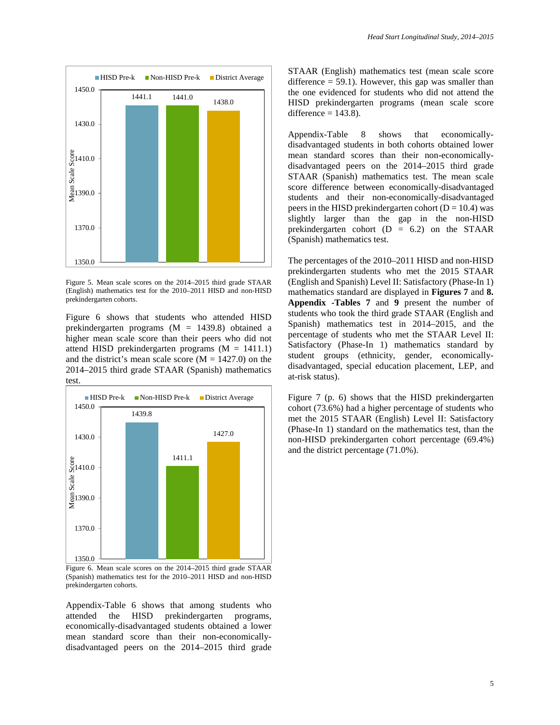

Figure 5. Mean scale scores on the 2014–2015 third grade STAAR (English) mathematics test for the 2010–2011 HISD and non-HISD prekindergarten cohorts.

Figure 6 shows that students who attended HISD prekindergarten programs (M = 1439.8) obtained a higher mean scale score than their peers who did not attend HISD prekindergarten programs  $(M = 1411.1)$ and the district's mean scale score  $(M = 1427.0)$  on the 2014–2015 third grade STAAR (Spanish) mathematics test.



Figure 6. Mean scale scores on the 2014–2015 third grade STAAR (Spanish) mathematics test for the 2010–2011 HISD and non-HISD prekindergarten cohorts.

Appendix-Table 6 shows that among students who attended the HISD prekindergarten programs, economically-disadvantaged students obtained a lower mean standard score than their non-economicallydisadvantaged peers on the 2014–2015 third grade STAAR (English) mathematics test (mean scale score difference  $= 59.1$ ). However, this gap was smaller than the one evidenced for students who did not attend the HISD prekindergarten programs (mean scale score difference  $= 143.8$ ).

Appendix-Table 8 shows that economicallydisadvantaged students in both cohorts obtained lower mean standard scores than their non-economicallydisadvantaged peers on the 2014–2015 third grade STAAR (Spanish) mathematics test. The mean scale score difference between economically-disadvantaged students and their non-economically-disadvantaged peers in the HISD prekindergarten cohort ( $D = 10.4$ ) was slightly larger than the gap in the non-HISD prekindergarten cohort  $(D = 6.2)$  on the STAAR (Spanish) mathematics test.

The percentages of the 2010–2011 HISD and non-HISD prekindergarten students who met the 2015 STAAR (English and Spanish) Level II: Satisfactory (Phase-In 1) mathematics standard are displayed in **Figures 7** and **8. Appendix -Tables 7** and **9** present the number of students who took the third grade STAAR (English and Spanish) mathematics test in 2014–2015, and the percentage of students who met the STAAR Level II: Satisfactory (Phase-In 1) mathematics standard by student groups (ethnicity, gender, economicallydisadvantaged, special education placement, LEP, and at-risk status).

Figure 7 (p. 6) shows that the HISD prekindergarten cohort (73.6%) had a higher percentage of students who met the 2015 STAAR (English) Level II: Satisfactory (Phase-In 1) standard on the mathematics test, than the non-HISD prekindergarten cohort percentage (69.4%) and the district percentage (71.0%).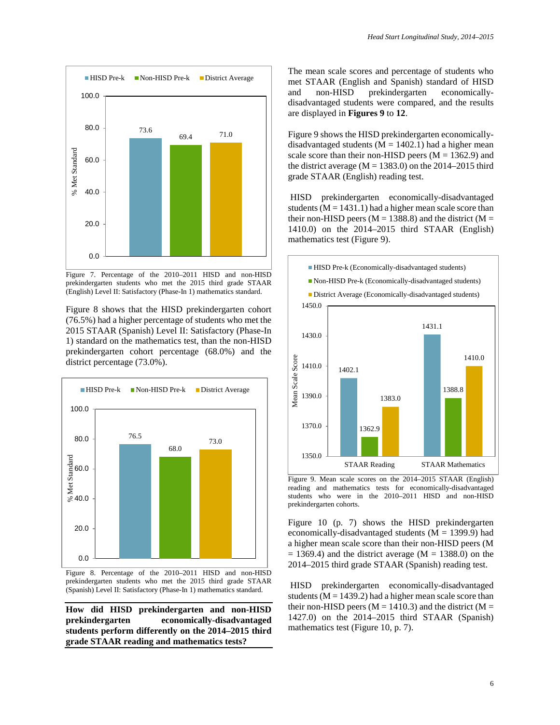

Figure 7. Percentage of the 2010–2011 HISD and non-HISD prekindergarten students who met the 2015 third grade STAAR (English) Level II: Satisfactory (Phase-In 1) mathematics standard.

Figure 8 shows that the HISD prekindergarten cohort (76.5%) had a higher percentage of students who met the 2015 STAAR (Spanish) Level II: Satisfactory (Phase-In 1) standard on the mathematics test, than the non-HISD prekindergarten cohort percentage (68.0%) and the district percentage (73.0%).



Figure 8. Percentage of the 2010–2011 HISD and non-HISD prekindergarten students who met the 2015 third grade STAAR (Spanish) Level II: Satisfactory (Phase-In 1) mathematics standard.

**How did HISD prekindergarten and non-HISD prekindergarten economically-disadvantaged students perform differently on the 2014–2015 third grade STAAR reading and mathematics tests?**

The mean scale scores and percentage of students who met STAAR (English and Spanish) standard of HISD and non-HISD prekindergarten economicallydisadvantaged students were compared, and the results are displayed in **Figures 9** to **12**.

Figure 9 shows the HISD prekindergarten economicallydisadvantaged students  $(M = 1402.1)$  had a higher mean scale score than their non-HISD peers  $(M = 1362.9)$  and the district average  $(M = 1383.0)$  on the 2014–2015 third grade STAAR (English) reading test.

HISD prekindergarten economically-disadvantaged students ( $M = 1431.1$ ) had a higher mean scale score than their non-HISD peers ( $M = 1388.8$ ) and the district ( $M =$ 1410.0) on the 2014–2015 third STAAR (English) mathematics test (Figure 9).



Figure 9. Mean scale scores on the 2014–2015 STAAR (English) reading and mathematics tests for economically-disadvantaged students who were in the 2010–2011 HISD and non-HISD prekindergarten cohorts.

Figure 10 (p. 7) shows the HISD prekindergarten economically-disadvantaged students ( $M = 1399.9$ ) had a higher mean scale score than their non-HISD peers (M  $= 1369.4$ ) and the district average (M  $= 1388.0$ ) on the 2014–2015 third grade STAAR (Spanish) reading test.

HISD prekindergarten economically-disadvantaged students ( $M = 1439.2$ ) had a higher mean scale score than their non-HISD peers ( $M = 1410.3$ ) and the district ( $M =$ 1427.0) on the 2014–2015 third STAAR (Spanish) mathematics test (Figure 10, p. 7).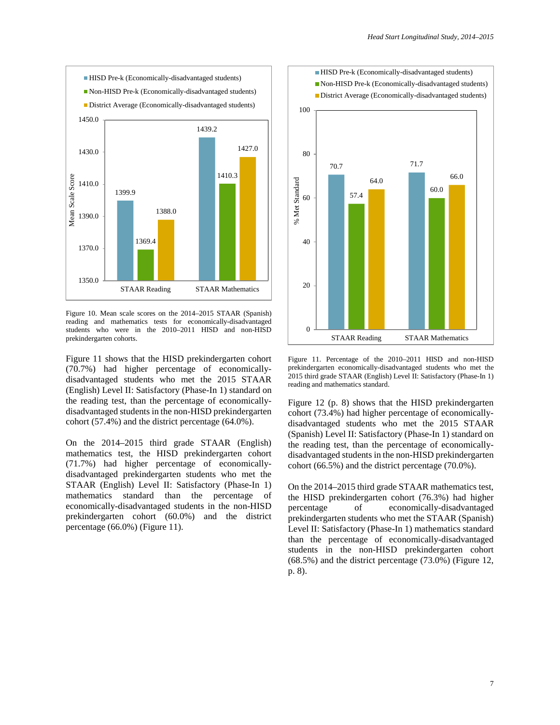

Figure 10. Mean scale scores on the 2014–2015 STAAR (Spanish) reading and mathematics tests for economically-disadvantaged students who were in the 2010–2011 HISD and non-HISD prekindergarten cohorts.

Figure 11 shows that the HISD prekindergarten cohort (70.7%) had higher percentage of economicallydisadvantaged students who met the 2015 STAAR (English) Level II: Satisfactory (Phase-In 1) standard on the reading test, than the percentage of economicallydisadvantaged students in the non-HISD prekindergarten cohort (57.4%) and the district percentage (64.0%).

On the 2014–2015 third grade STAAR (English) mathematics test, the HISD prekindergarten cohort (71.7%) had higher percentage of economicallydisadvantaged prekindergarten students who met the STAAR (English) Level II: Satisfactory (Phase-In 1) mathematics standard than the percentage of economically-disadvantaged students in the non-HISD prekindergarten cohort (60.0%) and the district percentage (66.0%) (Figure 11).



Figure 11. Percentage of the 2010–2011 HISD and non-HISD prekindergarten economically-disadvantaged students who met the 2015 third grade STAAR (English) Level II: Satisfactory (Phase-In 1) reading and mathematics standard.

Figure 12 (p. 8) shows that the HISD prekindergarten cohort (73.4%) had higher percentage of economicallydisadvantaged students who met the 2015 STAAR (Spanish) Level II: Satisfactory (Phase-In 1) standard on the reading test, than the percentage of economicallydisadvantaged students in the non-HISD prekindergarten cohort (66.5%) and the district percentage (70.0%).

On the 2014–2015 third grade STAAR mathematics test, the HISD prekindergarten cohort (76.3%) had higher percentage of economically-disadvantaged prekindergarten students who met the STAAR (Spanish) Level II: Satisfactory (Phase-In 1) mathematics standard than the percentage of economically-disadvantaged students in the non-HISD prekindergarten cohort (68.5%) and the district percentage (73.0%) (Figure 12, p. 8).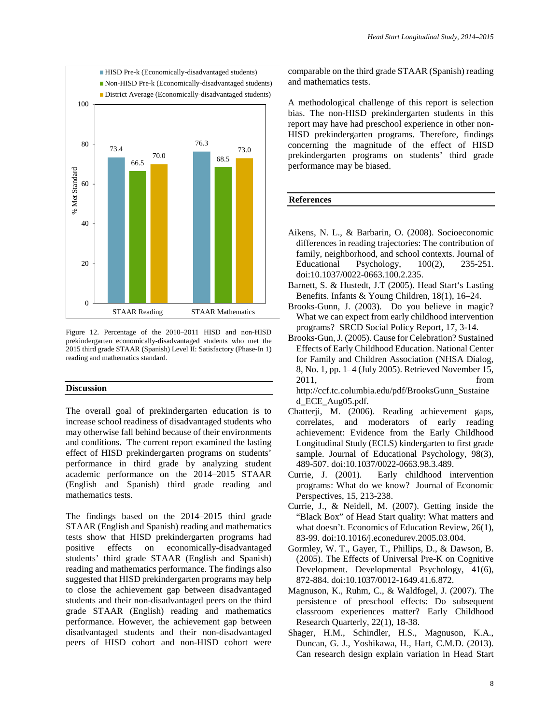

Figure 12. Percentage of the 2010–2011 HISD and non-HISD prekindergarten economically-disadvantaged students who met the 2015 third grade STAAR (Spanish) Level II: Satisfactory (Phase-In 1) reading and mathematics standard.

#### **Discussion**

The overall goal of prekindergarten education is to increase school readiness of disadvantaged students who may otherwise fall behind because of their environments and conditions. The current report examined the lasting effect of HISD prekindergarten programs on students' performance in third grade by analyzing student academic performance on the 2014–2015 STAAR (English and Spanish) third grade reading and mathematics tests.

The findings based on the 2014–2015 third grade STAAR (English and Spanish) reading and mathematics tests show that HISD prekindergarten programs had positive effects on economically-disadvantaged students' third grade STAAR (English and Spanish) reading and mathematics performance. The findings also suggested that HISD prekindergarten programs may help to close the achievement gap between disadvantaged students and their non-disadvantaged peers on the third grade STAAR (English) reading and mathematics performance. However, the achievement gap between disadvantaged students and their non-disadvantaged peers of HISD cohort and non-HISD cohort were

comparable on the third grade STAAR (Spanish) reading and mathematics tests.

A methodological challenge of this report is selection bias. The non-HISD prekindergarten students in this report may have had preschool experience in other non-HISD prekindergarten programs. Therefore, findings concerning the magnitude of the effect of HISD prekindergarten programs on students' third grade performance may be biased.

#### **References**

- Aikens, N. L., & Barbarin, O. (2008). Socioeconomic differences in reading trajectories: The contribution of family, neighborhood, and school contexts. Journal of Educational Psychology, 100(2), 235-251. doi:10.1037/0022-0663.100.2.235.
- Barnett, S. & Hustedt, J.T (2005). Head Start's Lasting Benefits. Infants & Young Children, 18(1), 16–24.
- Brooks-Gunn, J. (2003). Do you believe in magic? What we can expect from early childhood intervention programs? SRCD Social Policy Report, 17, 3-14.
- Brooks-Gun, J. (2005). Cause for Celebration? Sustained Effects of Early Childhood Education. National Center for Family and Children Association (NHSA Dialog, 8, No. 1, pp. 1–4 (July 2005). Retrieved November 15, 2011, from http://ccf.tc.columbia.edu/pdf/BrooksGunn\_Sustaine

d\_ECE\_Aug05.pdf.

- Chatterji, M. (2006). Reading achievement gaps, correlates, and moderators of early reading achievement: Evidence from the Early Childhood Longitudinal Study (ECLS) kindergarten to first grade sample. Journal of Educational Psychology, 98(3), 489-507. doi:10.1037/0022-0663.98.3.489.
- Currie, J. (2001). Early childhood intervention programs: What do we know? Journal of Economic Perspectives, 15, 213-238.
- Currie, J., & Neidell, M. (2007). Getting inside the "Black Box" of Head Start quality: What matters and what doesn't. Economics of Education Review, 26(1), 83-99. doi:10.1016/j.econedurev.2005.03.004.
- Gormley, W. T., Gayer, T., Phillips, D., & Dawson, B. (2005). The Effects of Universal Pre-K on Cognitive Development. Developmental Psychology, 41(6), 872-884. doi:10.1037/0012-1649.41.6.872.
- Magnuson, K., Ruhm, C., & Waldfogel, J. (2007). The persistence of preschool effects: Do subsequent classroom experiences matter? Early Childhood Research Quarterly, 22(1), 18-38.
- Shager, H.M., Schindler, H.S., Magnuson, K.A., Duncan, G. J., Yoshikawa, H., Hart, C.M.D. (2013). Can research design explain variation in Head Start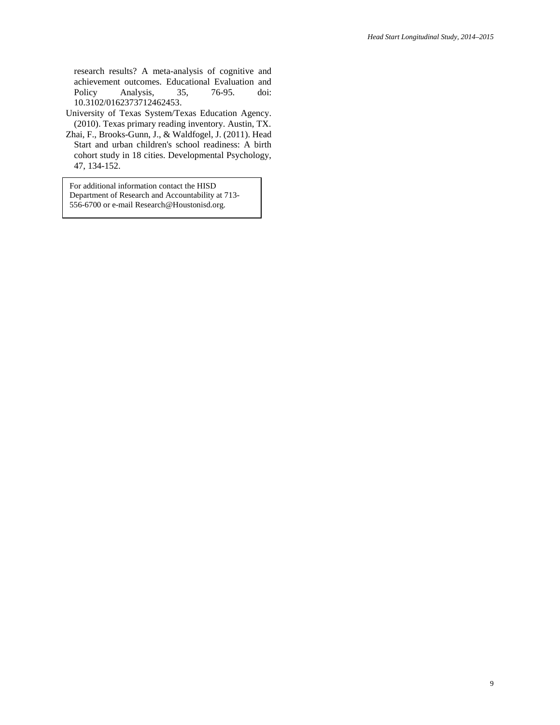research results? A meta-analysis of cognitive and achievement outcomes. Educational Evaluation and<br>Policy Analysis, 35, 76-95. doi: Policy Analysis, 35, 76-95. doi: 10.3102/0162373712462453.

- University of Texas System/Texas Education Agency. (2010). Texas primary reading inventory. Austin, TX.
- Zhai, F., Brooks-Gunn, J., & Waldfogel, J. (2011). Head Start and urban children's school readiness: A birth cohort study in 18 cities. Developmental Psychology, 47, 134-152.

For additional information contact the HISD Department of Research and Accountability at 713- 556-6700 or e-mail Research@Houstonisd.org.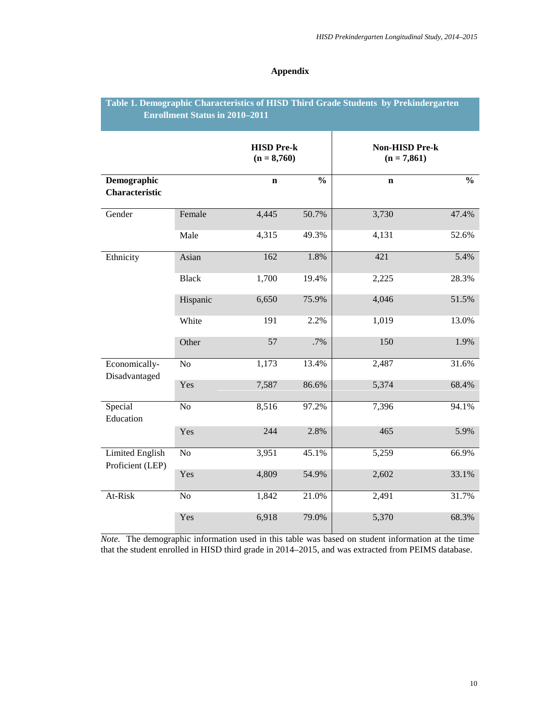#### **Appendix**

## **Table 1. Demographic Characteristics of HISD Third Grade Students by Prekindergarten Enrollment Status in 2010–2011**

|                                            |              | <b>HISD Pre-k</b><br>$(n = 8,760)$ |               | <b>Non-HISD Pre-k</b><br>$(n = 7,861)$ |               |
|--------------------------------------------|--------------|------------------------------------|---------------|----------------------------------------|---------------|
| Demographic<br><b>Characteristic</b>       |              | $\mathbf n$                        | $\frac{0}{0}$ | $\mathbf n$                            | $\frac{0}{0}$ |
| Gender                                     | Female       | 4,445                              | 50.7%         | 3,730                                  | 47.4%         |
|                                            | Male         | 4,315                              | 49.3%         | 4,131                                  | 52.6%         |
| Ethnicity                                  | Asian        | 162                                | 1.8%          | 421                                    | 5.4%          |
|                                            | <b>Black</b> | 1,700                              | 19.4%         | 2,225                                  | 28.3%         |
|                                            | Hispanic     | 6,650                              | 75.9%         | 4,046                                  | 51.5%         |
|                                            | White        | 191                                | 2.2%          | 1,019                                  | 13.0%         |
|                                            | Other        | 57                                 | .7%           | 150                                    | 1.9%          |
| Economically-<br>Disadvantaged             | No           | 1,173                              | 13.4%         | 2,487                                  | 31.6%         |
|                                            | Yes          | 7,587                              | 86.6%         | 5,374                                  | 68.4%         |
| Special<br>Education                       | No           | 8,516                              | 97.2%         | 7,396                                  | 94.1%         |
|                                            | Yes          | 244                                | 2.8%          | 465                                    | 5.9%          |
| <b>Limited English</b><br>Proficient (LEP) | No           | 3,951                              | 45.1%         | 5,259                                  | 66.9%         |
|                                            | Yes          | 4,809                              | 54.9%         | 2,602                                  | 33.1%         |
| At-Risk                                    | No           | 1,842                              | 21.0%         | 2,491                                  | 31.7%         |
|                                            | Yes          | 6,918                              | 79.0%         | 5,370                                  | 68.3%         |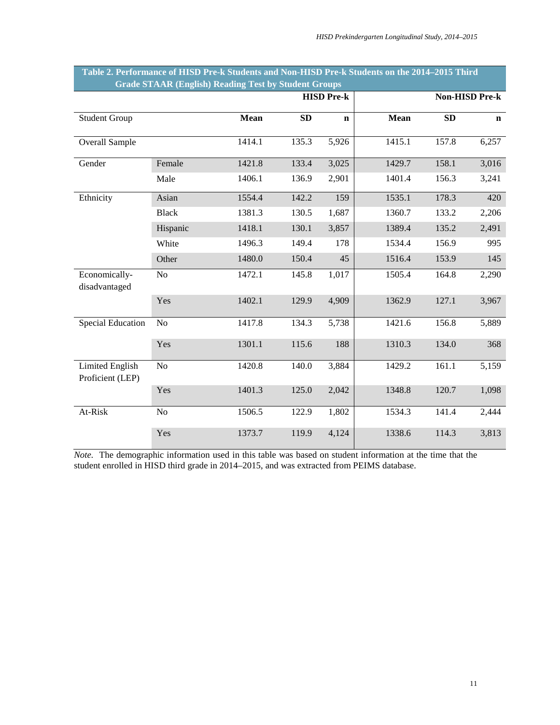|                                            | Grade STAAK (English) Keading Test by Student Groups |                   |       |             |             |       |                       |  |
|--------------------------------------------|------------------------------------------------------|-------------------|-------|-------------|-------------|-------|-----------------------|--|
|                                            |                                                      | <b>HISD Pre-k</b> |       |             |             |       | <b>Non-HISD Pre-k</b> |  |
| <b>Student Group</b>                       |                                                      | <b>Mean</b>       | SD    | $\mathbf n$ | <b>Mean</b> | SD    | $\mathbf n$           |  |
| Overall Sample                             |                                                      | 1414.1            | 135.3 | 5,926       | 1415.1      | 157.8 | 6,257                 |  |
| Gender                                     | Female                                               | 1421.8            | 133.4 | 3,025       | 1429.7      | 158.1 | 3,016                 |  |
|                                            | Male                                                 | 1406.1            | 136.9 | 2,901       | 1401.4      | 156.3 | 3,241                 |  |
| Ethnicity                                  | Asian                                                | 1554.4            | 142.2 | 159         | 1535.1      | 178.3 | 420                   |  |
|                                            | <b>Black</b>                                         | 1381.3            | 130.5 | 1,687       | 1360.7      | 133.2 | 2,206                 |  |
|                                            | Hispanic                                             | 1418.1            | 130.1 | 3,857       | 1389.4      | 135.2 | 2,491                 |  |
|                                            | White                                                | 1496.3            | 149.4 | 178         | 1534.4      | 156.9 | 995                   |  |
|                                            | Other                                                | 1480.0            | 150.4 | 45          | 1516.4      | 153.9 | 145                   |  |
| Economically-<br>disadvantaged             | No                                                   | 1472.1            | 145.8 | 1,017       | 1505.4      | 164.8 | 2,290                 |  |
|                                            | Yes                                                  | 1402.1            | 129.9 | 4,909       | 1362.9      | 127.1 | 3,967                 |  |
| <b>Special Education</b>                   | N <sub>o</sub>                                       | 1417.8            | 134.3 | 5,738       | 1421.6      | 156.8 | 5,889                 |  |
|                                            | Yes                                                  | 1301.1            | 115.6 | 188         | 1310.3      | 134.0 | 368                   |  |
| <b>Limited English</b><br>Proficient (LEP) | N <sub>o</sub>                                       | 1420.8            | 140.0 | 3,884       | 1429.2      | 161.1 | 5,159                 |  |
|                                            | Yes                                                  | 1401.3            | 125.0 | 2,042       | 1348.8      | 120.7 | 1,098                 |  |
| At-Risk                                    | N <sub>o</sub>                                       | 1506.5            | 122.9 | 1,802       | 1534.3      | 141.4 | 2,444                 |  |
|                                            | Yes                                                  | 1373.7            | 119.9 | 4,124       | 1338.6      | 114.3 | 3,813                 |  |

#### **Table 2. Performance of HISD Pre-k Students and Non-HISD Pre-k Students on the 2014–2015 Third Grade STAAR (English) Reading Test by Student Groups**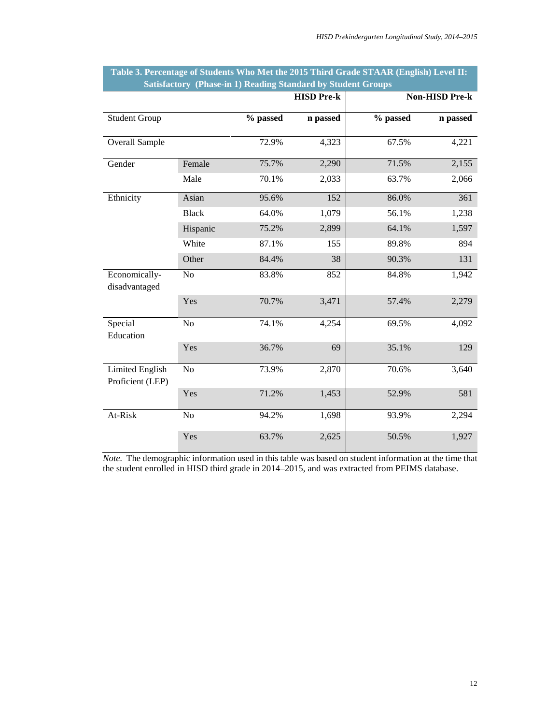|                                            |                |          | <b>HISD Pre-k</b> |          | <b>Non-HISD Pre-k</b> |
|--------------------------------------------|----------------|----------|-------------------|----------|-----------------------|
| <b>Student Group</b>                       |                | % passed | n passed          | % passed | n passed              |
| Overall Sample                             |                | 72.9%    | 4,323             | 67.5%    | 4,221                 |
| Gender                                     | Female         | 75.7%    | 2,290             | 71.5%    | 2,155                 |
|                                            | Male           | 70.1%    | 2,033             | 63.7%    | 2,066                 |
| Ethnicity                                  | Asian          | 95.6%    | 152               | 86.0%    | 361                   |
|                                            | <b>Black</b>   | 64.0%    | 1,079             | 56.1%    | 1,238                 |
|                                            | Hispanic       | 75.2%    | 2,899             | 64.1%    | 1,597                 |
|                                            | White          | 87.1%    | 155               | 89.8%    | 894                   |
|                                            | Other          | 84.4%    | 38                | 90.3%    | 131                   |
| Economically-<br>disadvantaged             | No             | 83.8%    | 852               | 84.8%    | 1,942                 |
|                                            | Yes            | 70.7%    | 3,471             | 57.4%    | 2,279                 |
| Special<br>Education                       | No             | 74.1%    | 4,254             | 69.5%    | 4,092                 |
|                                            | Yes            | 36.7%    | 69                | 35.1%    | 129                   |
| <b>Limited English</b><br>Proficient (LEP) | N <sub>o</sub> | 73.9%    | 2,870             | 70.6%    | 3,640                 |
|                                            | Yes            | 71.2%    | 1,453             | 52.9%    | 581                   |
| At-Risk                                    | N <sub>o</sub> | 94.2%    | 1,698             | 93.9%    | 2,294                 |
|                                            | Yes            | 63.7%    | 2,625             | 50.5%    | 1,927                 |

| Table 3. Percentage of Students Who Met the 2015 Third Grade STAAR (English) Level II: |                                                                     |  |  |  |
|----------------------------------------------------------------------------------------|---------------------------------------------------------------------|--|--|--|
|                                                                                        | <b>Satisfactory (Phase-in 1) Reading Standard by Student Groups</b> |  |  |  |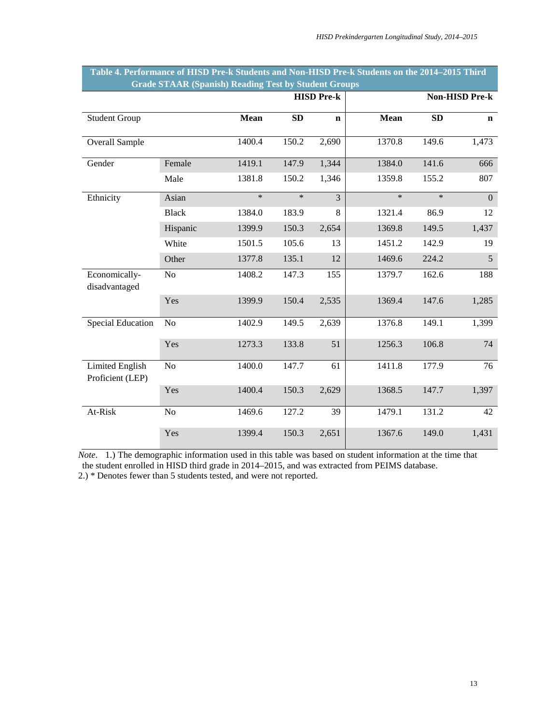|                                            |                | <b>HISD Pre-k</b> |           |                | Non-HISD Pre-k |           |                |
|--------------------------------------------|----------------|-------------------|-----------|----------------|----------------|-----------|----------------|
| <b>Student Group</b>                       |                | <b>Mean</b>       | <b>SD</b> | $\mathbf n$    | Mean           | <b>SD</b> | $\mathbf n$    |
| <b>Overall Sample</b>                      |                | 1400.4            | 150.2     | 2,690          | 1370.8         | 149.6     | 1,473          |
| Gender                                     | Female         | 1419.1            | 147.9     | 1,344          | 1384.0         | 141.6     | 666            |
|                                            | Male           | 1381.8            | 150.2     | 1,346          | 1359.8         | 155.2     | 807            |
| Ethnicity                                  | Asian          | $\ast$            | $\ast$    | $\overline{3}$ | $\ast$         | $\ast$    | $\overline{0}$ |
|                                            | <b>Black</b>   | 1384.0            | 183.9     | 8              | 1321.4         | 86.9      | 12             |
|                                            | Hispanic       | 1399.9            | 150.3     | 2,654          | 1369.8         | 149.5     | 1,437          |
|                                            | White          | 1501.5            | 105.6     | 13             | 1451.2         | 142.9     | 19             |
|                                            | Other          | 1377.8            | 135.1     | 12             | 1469.6         | 224.2     | 5              |
| Economically-<br>disadvantaged             | N <sub>o</sub> | 1408.2            | 147.3     | 155            | 1379.7         | 162.6     | 188            |
|                                            | Yes            | 1399.9            | 150.4     | 2,535          | 1369.4         | 147.6     | 1,285          |
| <b>Special Education</b>                   | N <sub>o</sub> | 1402.9            | 149.5     | 2,639          | 1376.8         | 149.1     | 1,399          |
|                                            | Yes            | 1273.3            | 133.8     | 51             | 1256.3         | 106.8     | 74             |
| <b>Limited English</b><br>Proficient (LEP) | No             | 1400.0            | 147.7     | 61             | 1411.8         | 177.9     | 76             |
|                                            | Yes            | 1400.4            | 150.3     | 2,629          | 1368.5         | 147.7     | 1,397          |
| At-Risk                                    | N <sub>o</sub> | 1469.6            | 127.2     | 39             | 1479.1         | 131.2     | 42             |
|                                            | Yes            | 1399.4            | 150.3     | 2,651          | 1367.6         | 149.0     | 1,431          |

#### **Table 4. Performance of HISD Pre-k Students and Non-HISD Pre-k Students on the 2014–2015 Third Grade STAAR (Spanish) Reading Test by Student Groups**

*Note*. 1.) The demographic information used in this table was based on student information at the time that the student enrolled in HISD third grade in 2014–2015, and was extracted from PEIMS database.

2.) \* Denotes fewer than 5 students tested, and were not reported.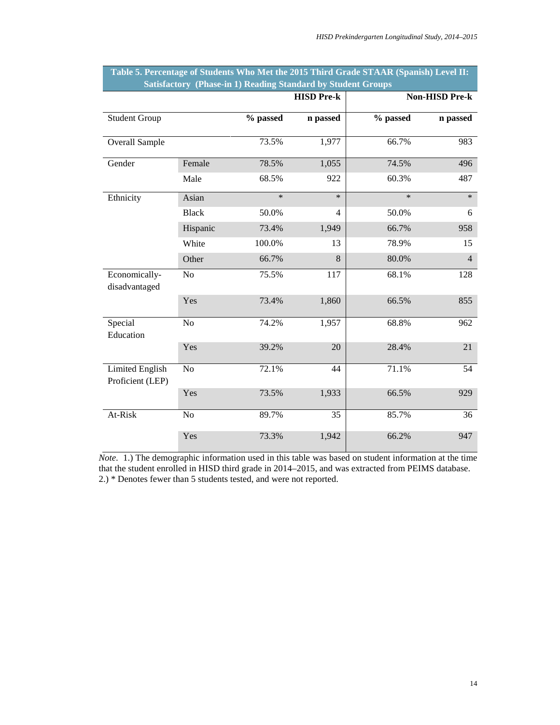|                                            |                |          | <b>HISD Pre-k</b> |          | <b>Non-HISD Pre-k</b> |
|--------------------------------------------|----------------|----------|-------------------|----------|-----------------------|
| <b>Student Group</b>                       |                | % passed | n passed          | % passed | n passed              |
| <b>Overall Sample</b>                      |                | 73.5%    | 1,977             | 66.7%    | 983                   |
| Gender                                     | Female         | 78.5%    | 1,055             | 74.5%    | 496                   |
|                                            | Male           | 68.5%    | 922               | 60.3%    | 487                   |
| Ethnicity                                  | Asian          | $\ast$   | $\ast$            | $\ast$   | $\ast$                |
|                                            | <b>Black</b>   | 50.0%    | 4                 | 50.0%    | 6                     |
|                                            | Hispanic       | 73.4%    | 1,949             | 66.7%    | 958                   |
|                                            | White          | 100.0%   | 13                | 78.9%    | 15                    |
|                                            | Other          | 66.7%    | 8                 | 80.0%    | $\overline{4}$        |
| Economically-<br>disadvantaged             | No             | 75.5%    | 117               | 68.1%    | 128                   |
|                                            | Yes            | 73.4%    | 1,860             | 66.5%    | 855                   |
| Special<br>Education                       | No             | 74.2%    | 1,957             | 68.8%    | 962                   |
|                                            | Yes            | 39.2%    | 20                | 28.4%    | 21                    |
| <b>Limited English</b><br>Proficient (LEP) | No             | 72.1%    | 44                | 71.1%    | $\overline{54}$       |
|                                            | Yes            | 73.5%    | 1,933             | 66.5%    | 929                   |
| At-Risk                                    | N <sub>o</sub> | 89.7%    | 35                | 85.7%    | 36                    |
|                                            | Yes            | 73.3%    | 1,942             | 66.2%    | 947                   |

| Table 5. Percentage of Students Who Met the 2015 Third Grade STAAR (Spanish) Level II: |                                                                     |  |  |
|----------------------------------------------------------------------------------------|---------------------------------------------------------------------|--|--|
|                                                                                        | <b>Satisfactory (Phase-in 1) Reading Standard by Student Groups</b> |  |  |

*Note*. 1.) The demographic information used in this table was based on student information at the time that the student enrolled in HISD third grade in 2014–2015, and was extracted from PEIMS database. 2.) \* Denotes fewer than 5 students tested, and were not reported.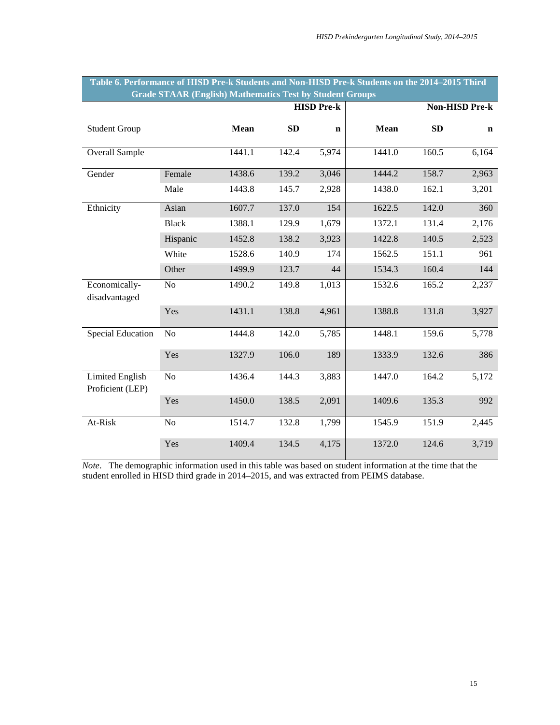|                                            | Grade STAAK (English) Mathematics Test by Buddent Groups<br><b>HISD Pre-k</b> |        |           |             |        |           |                       |
|--------------------------------------------|-------------------------------------------------------------------------------|--------|-----------|-------------|--------|-----------|-----------------------|
|                                            |                                                                               |        |           |             |        |           | <b>Non-HISD Pre-k</b> |
| <b>Student Group</b>                       |                                                                               | Mean   | <b>SD</b> | $\mathbf n$ | Mean   | <b>SD</b> | $\mathbf n$           |
| Overall Sample                             |                                                                               | 1441.1 | 142.4     | 5,974       | 1441.0 | 160.5     | 6,164                 |
| Gender                                     | Female                                                                        | 1438.6 | 139.2     | 3,046       | 1444.2 | 158.7     | 2,963                 |
|                                            | Male                                                                          | 1443.8 | 145.7     | 2,928       | 1438.0 | 162.1     | 3,201                 |
| Ethnicity                                  | Asian                                                                         | 1607.7 | 137.0     | 154         | 1622.5 | 142.0     | 360                   |
|                                            | <b>Black</b>                                                                  | 1388.1 | 129.9     | 1,679       | 1372.1 | 131.4     | 2,176                 |
|                                            | Hispanic                                                                      | 1452.8 | 138.2     | 3,923       | 1422.8 | 140.5     | 2,523                 |
|                                            | White                                                                         | 1528.6 | 140.9     | 174         | 1562.5 | 151.1     | 961                   |
|                                            | Other                                                                         | 1499.9 | 123.7     | 44          | 1534.3 | 160.4     | 144                   |
| Economically-<br>disadvantaged             | No                                                                            | 1490.2 | 149.8     | 1,013       | 1532.6 | 165.2     | 2,237                 |
|                                            | Yes                                                                           | 1431.1 | 138.8     | 4,961       | 1388.8 | 131.8     | 3,927                 |
| <b>Special Education</b>                   | N <sub>o</sub>                                                                | 1444.8 | 142.0     | 5,785       | 1448.1 | 159.6     | 5,778                 |
|                                            | Yes                                                                           | 1327.9 | 106.0     | 189         | 1333.9 | 132.6     | 386                   |
| <b>Limited English</b><br>Proficient (LEP) | No                                                                            | 1436.4 | 144.3     | 3,883       | 1447.0 | 164.2     | 5,172                 |
|                                            | Yes                                                                           | 1450.0 | 138.5     | 2,091       | 1409.6 | 135.3     | 992                   |
| At-Risk                                    | No                                                                            | 1514.7 | 132.8     | 1,799       | 1545.9 | 151.9     | 2,445                 |
|                                            | Yes                                                                           | 1409.4 | 134.5     | 4,175       | 1372.0 | 124.6     | 3,719                 |

#### **Table 6. Performance of HISD Pre-k Students and Non-HISD Pre-k Students on the 2014–2015 Third Grade STAAR (English) Mathematics Test by Student Groups**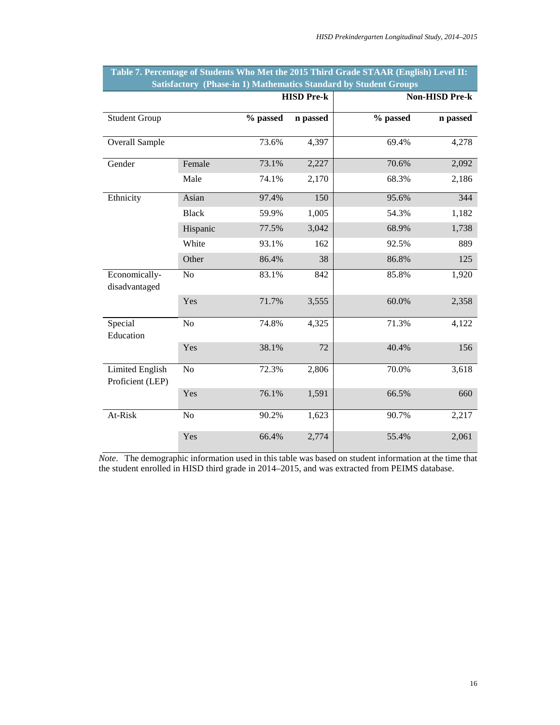|                                            |              |          | <b>HISD Pre-k</b> |          | <b>Non-HISD Pre-k</b> |
|--------------------------------------------|--------------|----------|-------------------|----------|-----------------------|
| <b>Student Group</b>                       |              | % passed | n passed          | % passed | n passed              |
| Overall Sample                             |              | 73.6%    | 4,397             | 69.4%    | 4,278                 |
| Gender                                     | Female       | 73.1%    | 2,227             | 70.6%    | 2,092                 |
|                                            | Male         | 74.1%    | 2,170             | 68.3%    | 2,186                 |
| Ethnicity                                  | Asian        | 97.4%    | 150               | 95.6%    | 344                   |
|                                            | <b>Black</b> | 59.9%    | 1,005             | 54.3%    | 1,182                 |
|                                            | Hispanic     | 77.5%    | 3,042             | 68.9%    | 1,738                 |
|                                            | White        | 93.1%    | 162               | 92.5%    | 889                   |
|                                            | Other        | 86.4%    | 38                | 86.8%    | 125                   |
| Economically-<br>disadvantaged             | No           | 83.1%    | 842               | 85.8%    | 1,920                 |
|                                            | Yes          | 71.7%    | 3,555             | 60.0%    | 2,358                 |
| Special<br>Education                       | No           | 74.8%    | 4,325             | 71.3%    | 4,122                 |
|                                            | Yes          | 38.1%    | 72                | 40.4%    | 156                   |
| <b>Limited English</b><br>Proficient (LEP) | No           | 72.3%    | 2,806             | 70.0%    | 3,618                 |
|                                            | Yes          | 76.1%    | 1,591             | 66.5%    | 660                   |
| At-Risk                                    | No           | 90.2%    | 1,623             | 90.7%    | 2,217                 |
|                                            | Yes          | 66.4%    | 2,774             | 55.4%    | 2,061                 |

## **Table 7. Percentage of Students Who Met the 2015 Third Grade STAAR (English) Level II: Satisfactory (Phase-in 1) Mathematics Standard by Student Groups**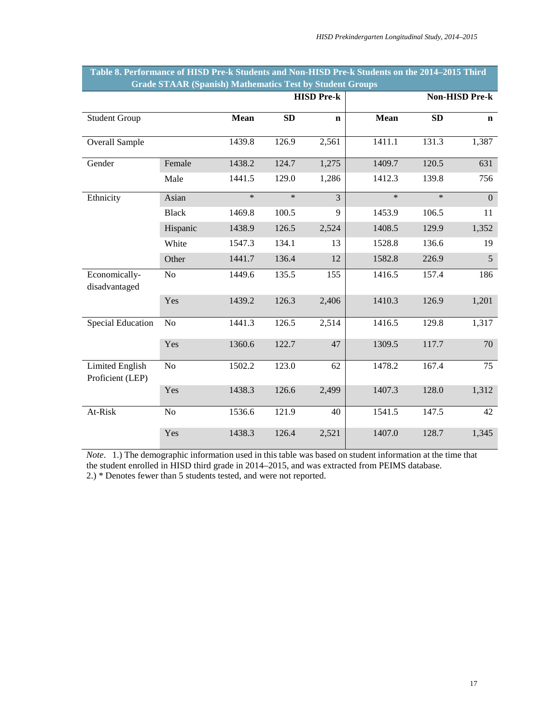|                                            |                |        |           | <b>HISD Pre-k</b> |        |           | Non-HISD Pre-k   |
|--------------------------------------------|----------------|--------|-----------|-------------------|--------|-----------|------------------|
| <b>Student Group</b>                       |                | Mean   | <b>SD</b> | $\mathbf n$       | Mean   | <b>SD</b> | $\mathbf n$      |
| Overall Sample                             |                | 1439.8 | 126.9     | 2,561             | 1411.1 | 131.3     | 1,387            |
| Gender                                     | Female         | 1438.2 | 124.7     | 1,275             | 1409.7 | 120.5     | 631              |
|                                            | Male           | 1441.5 | 129.0     | 1,286             | 1412.3 | 139.8     | 756              |
| Ethnicity                                  | Asian          | $\ast$ | $\ast$    | $\overline{3}$    | $\ast$ | $\ast$    | $\boldsymbol{0}$ |
|                                            | <b>Black</b>   | 1469.8 | 100.5     | 9                 | 1453.9 | 106.5     | 11               |
|                                            | Hispanic       | 1438.9 | 126.5     | 2,524             | 1408.5 | 129.9     | 1,352            |
|                                            | White          | 1547.3 | 134.1     | 13                | 1528.8 | 136.6     | 19               |
|                                            | Other          | 1441.7 | 136.4     | 12                | 1582.8 | 226.9     | 5                |
| Economically-<br>disadvantaged             | N <sub>o</sub> | 1449.6 | 135.5     | 155               | 1416.5 | 157.4     | 186              |
|                                            | Yes            | 1439.2 | 126.3     | 2,406             | 1410.3 | 126.9     | 1,201            |
| <b>Special Education</b>                   | N <sub>o</sub> | 1441.3 | 126.5     | 2,514             | 1416.5 | 129.8     | 1,317            |
|                                            | Yes            | 1360.6 | 122.7     | 47                | 1309.5 | 117.7     | 70               |
| <b>Limited English</b><br>Proficient (LEP) | N <sub>o</sub> | 1502.2 | 123.0     | 62                | 1478.2 | 167.4     | 75               |
|                                            | Yes            | 1438.3 | 126.6     | 2,499             | 1407.3 | 128.0     | 1,312            |
| At-Risk                                    | No             | 1536.6 | 121.9     | 40                | 1541.5 | 147.5     | 42               |
|                                            | Yes            | 1438.3 | 126.4     | 2,521             | 1407.0 | 128.7     | 1,345            |

#### **Table 8. Performance of HISD Pre-k Students and Non-HISD Pre-k Students on the 2014–2015 Third Grade STAAR (Spanish) Mathematics Test by Student Groups**

*Note*. 1.) The demographic information used in this table was based on student information at the time that the student enrolled in HISD third grade in 2014–2015, and was extracted from PEIMS database. 2.) \* Denotes fewer than 5 students tested, and were not reported.